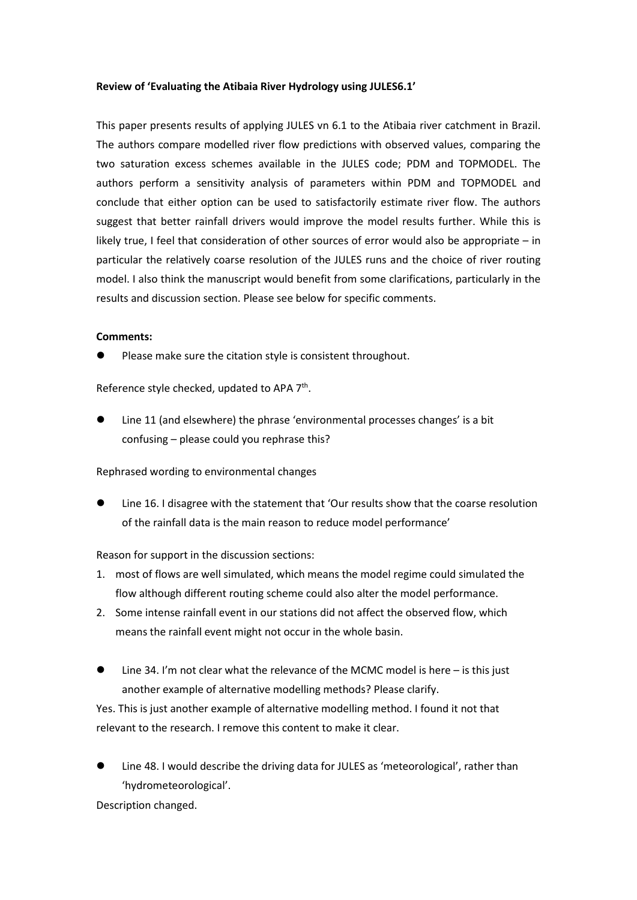## **Review of 'Evaluating the Atibaia River Hydrology using JULES6.1'**

This paper presents results of applying JULES vn 6.1 to the Atibaia river catchment in Brazil. The authors compare modelled river flow predictions with observed values, comparing the two saturation excess schemes available in the JULES code; PDM and TOPMODEL. The authors perform a sensitivity analysis of parameters within PDM and TOPMODEL and conclude that either option can be used to satisfactorily estimate river flow. The authors suggest that better rainfall drivers would improve the model results further. While this is likely true, I feel that consideration of other sources of error would also be appropriate – in particular the relatively coarse resolution of the JULES runs and the choice of river routing model. I also think the manuscript would benefit from some clarifications, particularly in the results and discussion section. Please see below for specific comments.

## **Comments:**

Please make sure the citation style is consistent throughout.

Reference style checked, updated to APA 7<sup>th</sup>.

 Line 11 (and elsewhere) the phrase 'environmental processes changes' is a bit confusing – please could you rephrase this?

Rephrased wording to environmental changes

 Line 16. I disagree with the statement that 'Our results show that the coarse resolution of the rainfall data is the main reason to reduce model performance'

Reason for support in the discussion sections:

- 1. most of flows are well simulated, which means the model regime could simulated the flow although different routing scheme could also alter the model performance.
- 2. Some intense rainfall event in our stations did not affect the observed flow, which means the rainfall event might not occur in the whole basin.
- Line 34. I'm not clear what the relevance of the MCMC model is here is this just another example of alternative modelling methods? Please clarify.

Yes. This is just another example of alternative modelling method. I found it not that relevant to the research. I remove this content to make it clear.

 Line 48. I would describe the driving data for JULES as 'meteorological', rather than 'hydrometeorological'.

Description changed.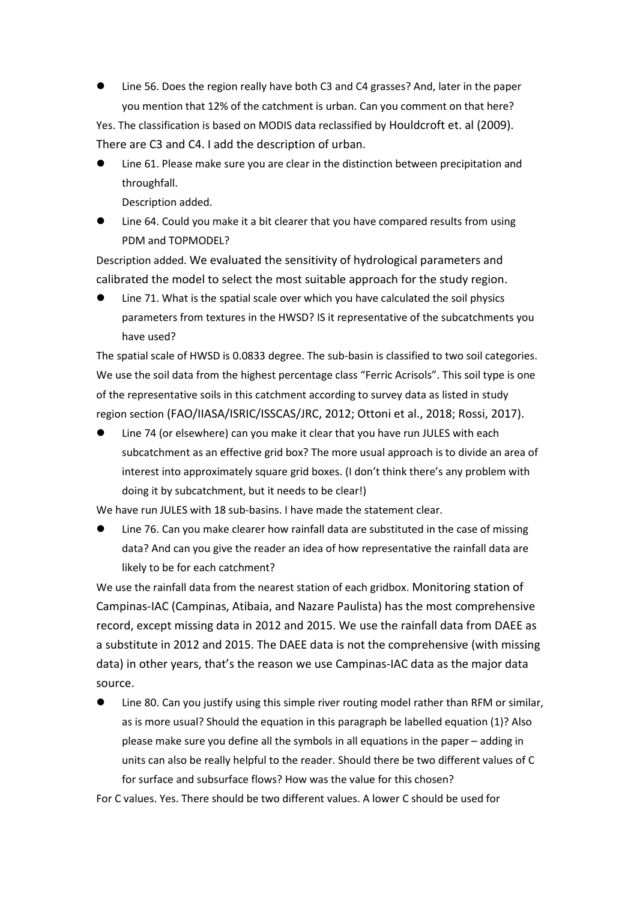Line 56. Does the region really have both C3 and C4 grasses? And, later in the paper you mention that 12% of the catchment is urban. Can you comment on that here?

Yes. The classification is based on MODIS data reclassified by Houldcroft et. al (2009). There are C3 and C4. I add the description of urban.

 Line 61. Please make sure you are clear in the distinction between precipitation and throughfall.

Description added.

 Line 64. Could you make it a bit clearer that you have compared results from using PDM and TOPMODEL?

Description added. We evaluated the sensitivity of hydrological parameters and calibrated the model to select the most suitable approach for the study region.

 Line 71. What is the spatial scale over which you have calculated the soil physics parameters from textures in the HWSD? IS it representative of the subcatchments you have used?

The spatial scale of HWSD is 0.0833 degree. The sub-basin is classified to two soil categories. We use the soil data from the highest percentage class "Ferric Acrisols". This soil type is one of the representative soils in this catchment according to survey data as listed in study region section (FAO/IIASA/ISRIC/ISSCAS/JRC, 2012; Ottoni et al., 2018; Rossi, 2017).

 Line 74 (or elsewhere) can you make it clear that you have run JULES with each subcatchment as an effective grid box? The more usual approach is to divide an area of interest into approximately square grid boxes. (I don't think there's any problem with doing it by subcatchment, but it needs to be clear!)

We have run JULES with 18 sub-basins. I have made the statement clear.

 Line 76. Can you make clearer how rainfall data are substituted in the case of missing data? And can you give the reader an idea of how representative the rainfall data are likely to be for each catchment?

We use the rainfall data from the nearest station of each gridbox. Monitoring station of Campinas-IAC (Campinas, Atibaia, and Nazare Paulista) has the most comprehensive record, except missing data in 2012 and 2015. We use the rainfall data from DAEE as a substitute in 2012 and 2015. The DAEE data is not the comprehensive (with missing data) in other years, that's the reason we use Campinas-IAC data as the major data source.

 Line 80. Can you justify using this simple river routing model rather than RFM or similar, as is more usual? Should the equation in this paragraph be labelled equation (1)? Also please make sure you define all the symbols in all equations in the paper – adding in units can also be really helpful to the reader. Should there be two different values of C for surface and subsurface flows? How was the value for this chosen?

For C values. Yes. There should be two different values. A lower C should be used for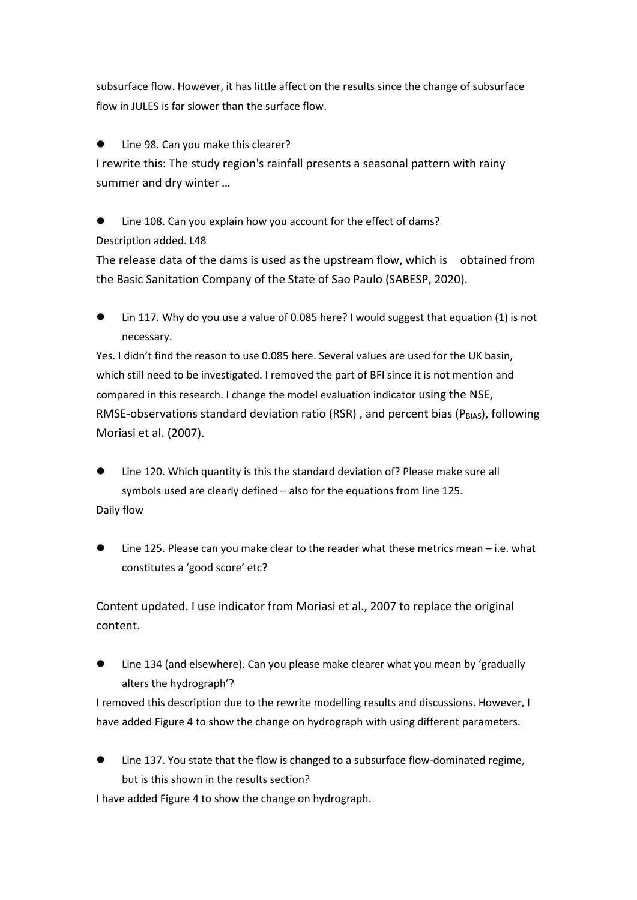subsurface flow. However, it has little affect on the results since the change of subsurface flow in JULES is far slower than the surface flow.

Line 98. Can you make this clearer?

I rewrite this: The study region's rainfall presents a seasonal pattern with rainy summer and dry winter …

 Line 108. Can you explain how you account for the effect of dams? Description added. L48

The release data of the dams is used as the upstream flow, which is obtained from the Basic Sanitation Company of the State of Sao Paulo (SABESP, 2020).

 Lin 117. Why do you use a value of 0.085 here? I would suggest that equation (1) is not necessary.

Yes. I didn't find the reason to use 0.085 here. Several values are used for the UK basin, which still need to be investigated. I removed the part of BFI since it is not mention and compared in this research. I change the model evaluation indicator using the NSE, RMSE-observations standard deviation ratio (RSR), and percent bias ( $P_{BIAS}$ ), following Moriasi et al. (2007).

- Line 120. Which quantity is this the standard deviation of? Please make sure all symbols used are clearly defined – also for the equations from line 125. Daily flow
- Line 125. Please can you make clear to the reader what these metrics mean i.e. what constitutes a 'good score' etc?

Content updated. I use indicator from Moriasi et al., 2007 to replace the original content.

 Line 134 (and elsewhere). Can you please make clearer what you mean by 'gradually alters the hydrograph'?

I removed this description due to the rewrite modelling results and discussions. However, I have added Figure 4 to show the change on hydrograph with using different parameters.

 Line 137. You state that the flow is changed to a subsurface flow-dominated regime, but is this shown in the results section?

I have added Figure 4 to show the change on hydrograph.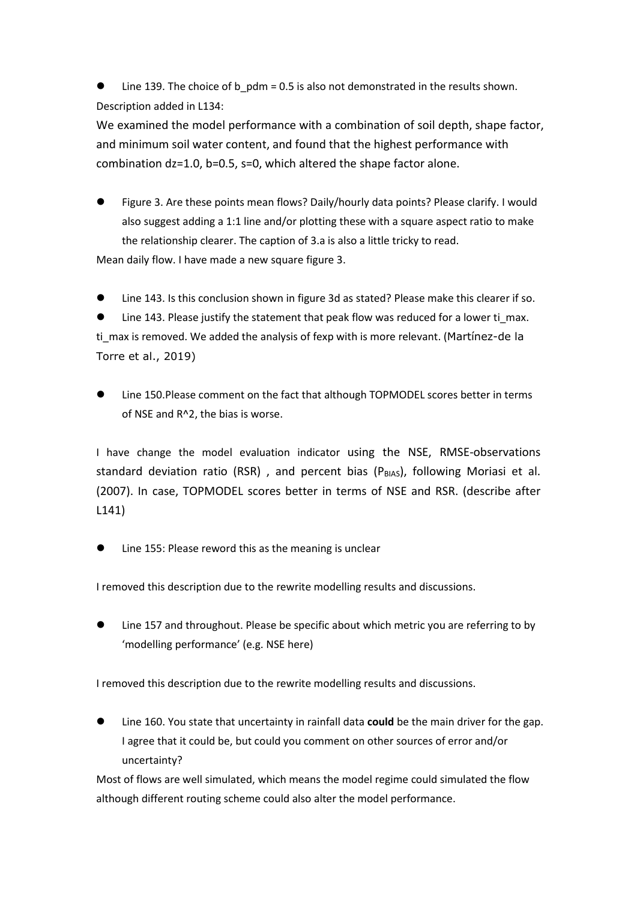Line 139. The choice of b  $pdm = 0.5$  is also not demonstrated in the results shown. Description added in L134:

We examined the model performance with a combination of soil depth, shape factor, and minimum soil water content, and found that the highest performance with combination dz=1.0, b=0.5, s=0, which altered the shape factor alone.

 Figure 3. Are these points mean flows? Daily/hourly data points? Please clarify. I would also suggest adding a 1:1 line and/or plotting these with a square aspect ratio to make the relationship clearer. The caption of 3.a is also a little tricky to read. Mean daily flow. I have made a new square figure 3.

Line 143. Is this conclusion shown in figure 3d as stated? Please make this clearer if so.

Line 143. Please justify the statement that peak flow was reduced for a lower ti max. ti max is removed. We added the analysis of fexp with is more relevant. (Martínez-de la Torre et al., 2019)

 Line 150.Please comment on the fact that although TOPMODEL scores better in terms of NSE and R^2, the bias is worse.

I have change the model evaluation indicator using the NSE, RMSE-observations standard deviation ratio (RSR), and percent bias ( $P<sub>BIAS</sub>$ ), following Moriasi et al. (2007). In case, TOPMODEL scores better in terms of NSE and RSR. (describe after L141)

Line 155: Please reword this as the meaning is unclear

I removed this description due to the rewrite modelling results and discussions.

 Line 157 and throughout. Please be specific about which metric you are referring to by 'modelling performance' (e.g. NSE here)

I removed this description due to the rewrite modelling results and discussions.

 Line 160. You state that uncertainty in rainfall data **could** be the main driver for the gap. I agree that it could be, but could you comment on other sources of error and/or uncertainty?

Most of flows are well simulated, which means the model regime could simulated the flow although different routing scheme could also alter the model performance.